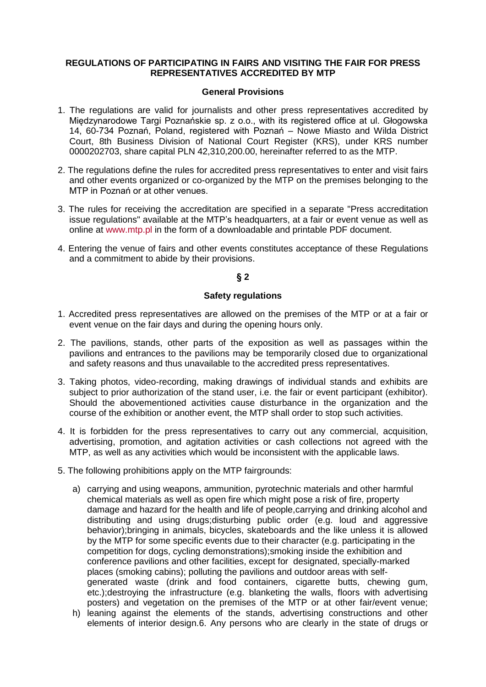## **REGULATIONS OF PARTICIPATING IN FAIRS AND VISITING THE FAIR FOR PRESS REPRESENTATIVES ACCREDITED BY MTP**

#### **General Provisions**

- 1. The regulations are valid for journalists and other press representatives accredited by Międzynarodowe Targi Poznańskie sp. z o.o., with its registered office at ul. Głogowska 14, 60-734 Poznań, Poland, registered with Poznań – Nowe Miasto and Wilda District Court, 8th Business Division of National Court Register (KRS), under KRS number 0000202703, share capital PLN 42,310,200.00, hereinafter referred to as the MTP.
- 2. The regulations define the rules for accredited press representatives to enter and visit fairs and other events organized or co-organized by the MTP on the premises belonging to the MTP in Poznań or at other venues.
- 3. The rules for receiving the accreditation are specified in a separate "Press accreditation issue regulations" available at the MTP's headquarters, at a fair or event venue as well as online at [www.mtp.pl](http://www.mtp.pl/) in the form of a downloadable and printable PDF document.
- 4. Entering the venue of fairs and other events constitutes acceptance of these Regulations and a commitment to abide by their provisions.

# **§ 2**

#### **Safety regulations**

- 1. Accredited press representatives are allowed on the premises of the MTP or at a fair or event venue on the fair days and during the opening hours only.
- 2. The pavilions, stands, other parts of the exposition as well as passages within the pavilions and entrances to the pavilions may be temporarily closed due to organizational and safety reasons and thus unavailable to the accredited press representatives.
- 3. Taking photos, video-recording, making drawings of individual stands and exhibits are subject to prior authorization of the stand user, i.e. the fair or event participant (exhibitor). Should the abovementioned activities cause disturbance in the organization and the course of the exhibition or another event, the MTP shall order to stop such activities.
- 4. It is forbidden for the press representatives to carry out any commercial, acquisition, advertising, promotion, and agitation activities or cash collections not agreed with the MTP, as well as any activities which would be inconsistent with the applicable laws.
- 5. The following prohibitions apply on the MTP fairgrounds:
	- a) carrying and using weapons, ammunition, pyrotechnic materials and other harmful chemical materials as well as open fire which might pose a risk of fire, property damage and hazard for the health and life of people,carrying and drinking alcohol and distributing and using drugs;disturbing public order (e.g. loud and aggressive behavior);bringing in animals, bicycles, skateboards and the like unless it is allowed by the MTP for some specific events due to their character (e.g. participating in the competition for dogs, cycling demonstrations);smoking inside the exhibition and conference pavilions and other facilities, except for designated, specially-marked places (smoking cabins); polluting the pavilions and outdoor areas with selfgenerated waste (drink and food containers, cigarette butts, chewing gum, etc.);destroying the infrastructure (e.g. blanketing the walls, floors with advertising posters) and vegetation on the premises of the MTP or at other fair/event venue;
	- h) leaning against the elements of the stands, advertising constructions and other elements of interior design.6. Any persons who are clearly in the state of drugs or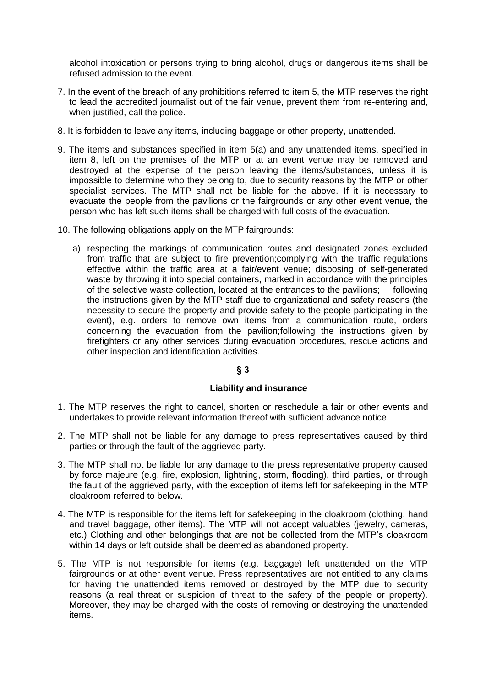alcohol intoxication or persons trying to bring alcohol, drugs or dangerous items shall be refused admission to the event.

- 7. In the event of the breach of any prohibitions referred to item 5, the MTP reserves the right to lead the accredited journalist out of the fair venue, prevent them from re-entering and, when justified, call the police.
- 8. It is forbidden to leave any items, including baggage or other property, unattended.
- 9. The items and substances specified in item 5(a) and any unattended items, specified in item 8, left on the premises of the MTP or at an event venue may be removed and destroyed at the expense of the person leaving the items/substances, unless it is impossible to determine who they belong to, due to security reasons by the MTP or other specialist services. The MTP shall not be liable for the above. If it is necessary to evacuate the people from the pavilions or the fairgrounds or any other event venue, the person who has left such items shall be charged with full costs of the evacuation.
- 10. The following obligations apply on the MTP fairgrounds:
	- a) respecting the markings of communication routes and designated zones excluded from traffic that are subject to fire prevention;complying with the traffic regulations effective within the traffic area at a fair/event venue; disposing of self-generated waste by throwing it into special containers, marked in accordance with the principles of the selective waste collection, located at the entrances to the pavilions; following the instructions given by the MTP staff due to organizational and safety reasons (the necessity to secure the property and provide safety to the people participating in the event), e.g. orders to remove own items from a communication route, orders concerning the evacuation from the pavilion;following the instructions given by firefighters or any other services during evacuation procedures, rescue actions and other inspection and identification activities.

# **§ 3**

## **Liability and insurance**

- 1. The MTP reserves the right to cancel, shorten or reschedule a fair or other events and undertakes to provide relevant information thereof with sufficient advance notice.
- 2. The MTP shall not be liable for any damage to press representatives caused by third parties or through the fault of the aggrieved party.
- 3. The MTP shall not be liable for any damage to the press representative property caused by force majeure (e.g. fire, explosion, lightning, storm, flooding), third parties, or through the fault of the aggrieved party, with the exception of items left for safekeeping in the MTP cloakroom referred to below.
- 4. The MTP is responsible for the items left for safekeeping in the cloakroom (clothing, hand and travel baggage, other items). The MTP will not accept valuables (jewelry, cameras, etc.) Clothing and other belongings that are not be collected from the MTP's cloakroom within 14 days or left outside shall be deemed as abandoned property.
- 5. The MTP is not responsible for items (e.g. baggage) left unattended on the MTP fairgrounds or at other event venue. Press representatives are not entitled to any claims for having the unattended items removed or destroyed by the MTP due to security reasons (a real threat or suspicion of threat to the safety of the people or property). Moreover, they may be charged with the costs of removing or destroying the unattended items.